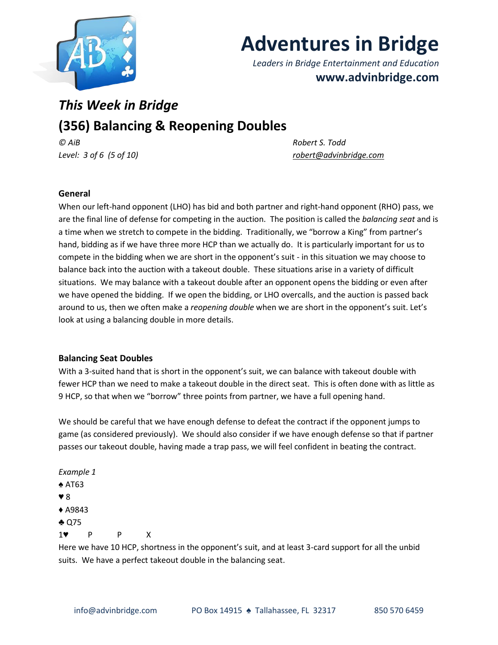

# **Adventures in Bridge**

*Leaders in Bridge Entertainment and Education* **www.advinbridge.com**

# *This Week in Bridge* **(356) Balancing & Reopening Doubles**

*© AiB Robert S. Todd*

*Level: 3 of 6 (5 of 10) [robert@advinbridge.com](mailto:robert@advinbridge.com)*

## **General**

When our left-hand opponent (LHO) has bid and both partner and right-hand opponent (RHO) pass, we are the final line of defense for competing in the auction. The position is called the *balancing seat* and is a time when we stretch to compete in the bidding. Traditionally, we "borrow a King" from partner's hand, bidding as if we have three more HCP than we actually do. It is particularly important for us to compete in the bidding when we are short in the opponent's suit - in this situation we may choose to balance back into the auction with a takeout double. These situations arise in a variety of difficult situations. We may balance with a takeout double after an opponent opens the bidding or even after we have opened the bidding. If we open the bidding, or LHO overcalls, and the auction is passed back around to us, then we often make a *reopening double* when we are short in the opponent's suit. Let's look at using a balancing double in more details.

### **Balancing Seat Doubles**

With a 3-suited hand that is short in the opponent's suit, we can balance with takeout double with fewer HCP than we need to make a takeout double in the direct seat. This is often done with as little as 9 HCP, so that when we "borrow" three points from partner, we have a full opening hand.

We should be careful that we have enough defense to defeat the contract if the opponent jumps to game (as considered previously). We should also consider if we have enough defense so that if partner passes our takeout double, having made a trap pass, we will feel confident in beating the contract.

*Example 1* ♠ AT63 ♥ 8 ♦ A9843 ♣ Q75 1♥ P P X

Here we have 10 HCP, shortness in the opponent's suit, and at least 3-card support for all the unbid suits. We have a perfect takeout double in the balancing seat.